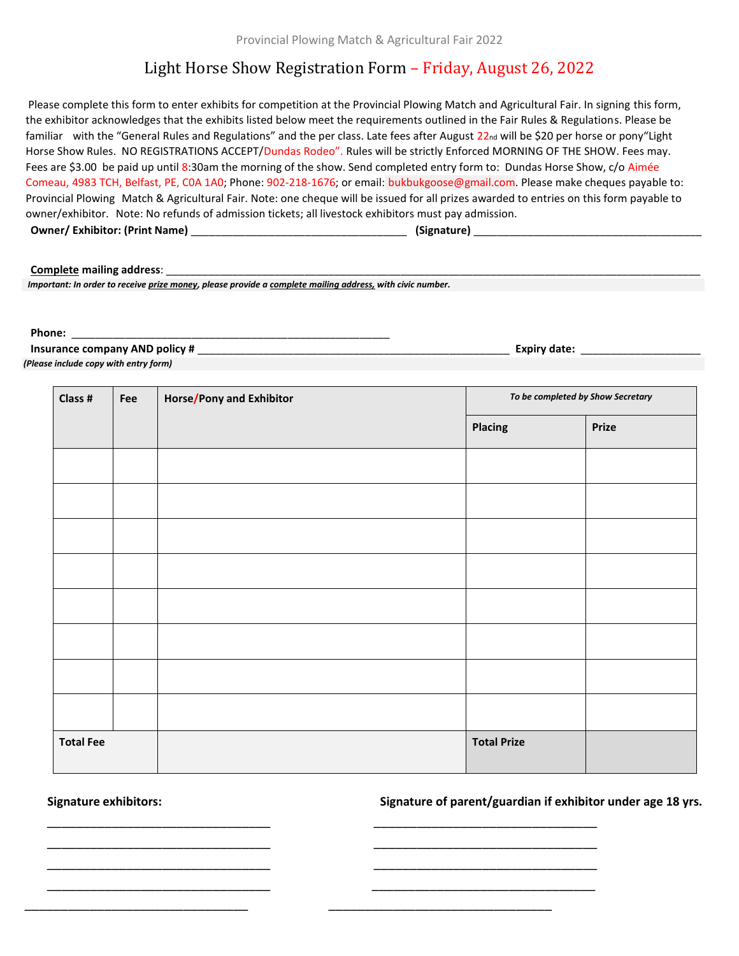# Light Horse Show Registration Form – Friday, August 26, 2022

Please complete this form to enter exhibits for competition at the Provincial Plowing Match and Agricultural Fair. In signing this form, the exhibitor acknowledges that the exhibits listed below meet the requirements outlined in the Fair Rules & Regulations. Please be familiar with the "General Rules and Regulations" and the per class. Late fees after August 22nd will be \$20 per horse or pony"Light Horse Show Rules. NO REGISTRATIONS ACCEPT/Dundas Rodeo". Rules will be strictly Enforced MORNING OF THE SHOW. Fees may. Fees are \$3.00 be paid up until 8:30am the morning of the show. Send completed entry form to: Dundas Horse Show, c/o Aimée Comeau, 4983 TCH, Belfast, PE, C0A 1A0; Phone: 902-218-1676; or email: bukbukgoose@gmail.com. Please make cheques payable to: Provincial Plowing Match & Agricultural Fair. Note: one cheque will be issued for all prizes awarded to entries on this form payable to owner/exhibitor. Note: No refunds of admission tickets; all livestock exhibitors must pay admission.  **Owner/ Exhibitor: (Print Name)** \_\_\_\_\_\_\_\_\_\_\_\_\_\_\_\_\_\_\_\_\_\_\_\_\_\_\_\_\_\_\_\_\_\_\_\_ **(Signature)** \_\_\_\_\_\_\_\_\_\_\_\_\_\_\_\_\_\_\_\_\_\_\_\_\_\_\_\_\_\_\_\_\_\_\_\_\_\_

### **Complete mailing address:**

 *Important: In order to receive prize money, please provide a complete mailing address, with civic number.*

#### **Phone:** \_\_\_\_\_\_\_\_\_\_\_\_\_\_\_\_\_\_\_\_\_\_\_\_\_\_\_\_\_\_\_\_\_\_\_\_\_\_\_\_\_\_\_\_\_\_\_\_\_\_\_\_\_

 **Insurance company AND policy #** \_\_\_\_\_\_\_\_\_\_\_\_\_\_\_\_\_\_\_\_\_\_\_\_\_\_\_\_\_\_\_\_\_\_\_\_\_\_\_\_\_\_\_\_\_\_\_\_\_\_\_\_ **Expiry date:** \_\_\_\_\_\_\_\_\_\_\_\_\_\_\_\_\_\_\_\_

| (Please include copy with entry form) |  |  |
|---------------------------------------|--|--|
|                                       |  |  |

| Class #          | Fee | Horse/Pony and Exhibitor | To be completed by Show Secretary |              |
|------------------|-----|--------------------------|-----------------------------------|--------------|
|                  |     |                          | <b>Placing</b>                    | <b>Prize</b> |
|                  |     |                          |                                   |              |
|                  |     |                          |                                   |              |
|                  |     |                          |                                   |              |
|                  |     |                          |                                   |              |
|                  |     |                          |                                   |              |
|                  |     |                          |                                   |              |
|                  |     |                          |                                   |              |
|                  |     |                          |                                   |              |
| <b>Total Fee</b> |     |                          | <b>Total Prize</b>                |              |

 \_\_\_\_\_\_\_\_\_\_\_\_\_\_\_\_\_\_\_\_\_\_\_\_\_\_\_\_\_\_\_ \_\_\_\_\_\_\_\_\_\_\_\_\_\_\_\_\_\_\_\_\_\_\_\_\_\_\_\_\_\_\_ \_\_\_\_\_\_\_\_\_\_\_\_\_\_\_\_\_\_\_\_\_\_\_\_\_\_\_\_\_\_\_ \_\_\_\_\_\_\_\_\_\_\_\_\_\_\_\_\_\_\_\_\_\_\_\_\_\_\_\_\_\_\_ \_\_\_\_\_\_\_\_\_\_\_\_\_\_\_\_\_\_\_\_\_\_\_\_\_\_\_\_\_\_\_ \_\_\_\_\_\_\_\_\_\_\_\_\_\_\_\_\_\_\_\_\_\_\_\_\_\_\_\_\_\_\_ \_\_\_\_\_\_\_\_\_\_\_\_\_\_\_\_\_\_\_\_\_\_\_\_\_\_\_\_\_\_\_ \_\_\_\_\_\_\_\_\_\_\_\_\_\_\_\_\_\_\_\_\_\_\_\_\_\_\_\_\_\_\_

\_\_\_\_\_\_\_\_\_\_\_\_\_\_\_\_\_\_\_\_\_\_\_\_\_\_\_\_\_\_\_ \_\_\_\_\_\_\_\_\_\_\_\_\_\_\_\_\_\_\_\_\_\_\_\_\_\_\_\_\_\_\_

 **Signature exhibitors: Signature of parent/guardian if exhibitor under age 18 yrs.**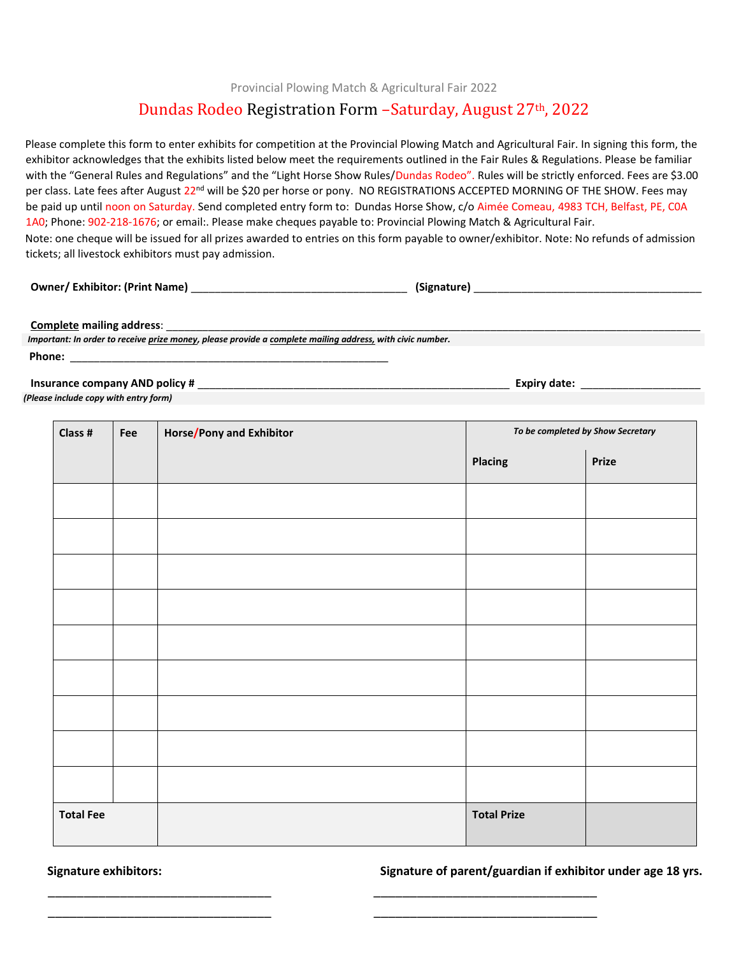Provincial Plowing Match & Agricultural Fair 2022

## Dundas Rodeo Registration Form –Saturday, August 27th, 2022

Please complete this form to enter exhibits for competition at the Provincial Plowing Match and Agricultural Fair. In signing this form, the exhibitor acknowledges that the exhibits listed below meet the requirements outlined in the Fair Rules & Regulations. Please be familiar with the "General Rules and Regulations" and the "Light Horse Show Rules/Dundas Rodeo". Rules will be strictly enforced. Fees are \$3.00 per class. Late fees after August 22<sup>nd</sup> will be \$20 per horse or pony. NO REGISTRATIONS ACCEPTED MORNING OF THE SHOW. Fees may be paid up until noon on Saturday. Send completed entry form to: Dundas Horse Show, c/o Aimée Comeau, 4983 TCH, Belfast, PE, COA 1A0; Phone: 902-218-1676; or email:. Please make cheques payable to: Provincial Plowing Match & Agricultural Fair. Note: one cheque will be issued for all prizes awarded to entries on this form payable to owner/exhibitor. Note: No refunds of admission tickets; all livestock exhibitors must pay admission.

**Owner/ Exhibitor: (Print Name)**  $\qquad \qquad$  **(Signature)**  $\qquad \qquad$  (Signature)  $\qquad \qquad$ 

**Complete mailing address:** 

 *Important: In order to receive prize money, please provide a complete mailing address, with civic number.* **Phone:** \_\_\_\_\_\_\_\_\_\_\_\_\_\_\_\_\_\_\_\_\_\_\_\_\_\_\_\_\_\_\_\_\_\_\_\_\_\_\_\_\_\_\_\_\_\_\_\_\_\_\_\_\_

**Insurance company AND policy #**  $\blacksquare$ 

*(Please include copy with entry form)*

| Class #<br>Fee   |  | <b>Horse/Pony and Exhibitor</b> | To be completed by Show Secretary |       |
|------------------|--|---------------------------------|-----------------------------------|-------|
|                  |  |                                 | <b>Placing</b>                    | Prize |
|                  |  |                                 |                                   |       |
|                  |  |                                 |                                   |       |
|                  |  |                                 |                                   |       |
|                  |  |                                 |                                   |       |
|                  |  |                                 |                                   |       |
|                  |  |                                 |                                   |       |
|                  |  |                                 |                                   |       |
|                  |  |                                 |                                   |       |
|                  |  |                                 |                                   |       |
| <b>Total Fee</b> |  |                                 | <b>Total Prize</b>                |       |

\_\_\_\_\_\_\_\_\_\_\_\_\_\_\_\_\_\_\_\_\_\_\_\_\_\_\_\_\_\_\_

\_\_\_\_\_\_\_\_\_\_\_\_\_\_\_\_\_\_\_\_\_\_\_\_\_\_\_\_\_\_\_

 **Signature exhibitors: Signature of parent/guardian if exhibitor under age 18 yrs.**

\_\_\_\_\_\_\_\_\_\_\_\_\_\_\_\_\_\_\_\_\_\_\_\_\_\_\_\_\_\_\_

 $\overline{\phantom{a}}$  ,  $\overline{\phantom{a}}$  ,  $\overline{\phantom{a}}$  ,  $\overline{\phantom{a}}$  ,  $\overline{\phantom{a}}$  ,  $\overline{\phantom{a}}$  ,  $\overline{\phantom{a}}$  ,  $\overline{\phantom{a}}$  ,  $\overline{\phantom{a}}$  ,  $\overline{\phantom{a}}$  ,  $\overline{\phantom{a}}$  ,  $\overline{\phantom{a}}$  ,  $\overline{\phantom{a}}$  ,  $\overline{\phantom{a}}$  ,  $\overline{\phantom{a}}$  ,  $\overline{\phantom{a}}$